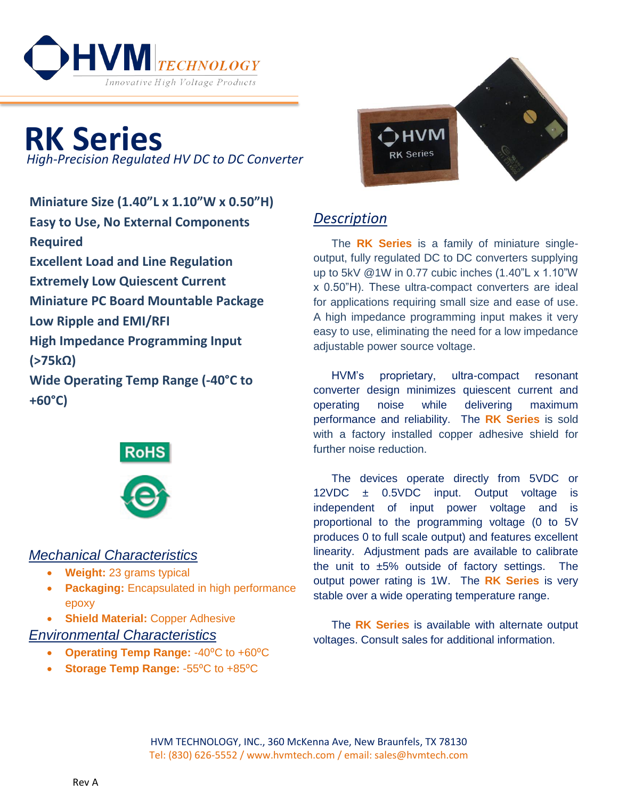

**RK Series** *High-Precision Regulated HV DC to DC Converter*

**Miniature Size (1.40"L x 1.10"W x 0.50"H) Easy to Use, No External Components Required Excellent Load and Line Regulation Extremely Low Quiescent Current Miniature PC Board Mountable Package Low Ripple and EMI/RFI High Impedance Programming Input (>75kΩ) Wide Operating Temp Range (-40°C to +60°C)**





## *Mechanical Characteristics*

- **Weight:** 23 grams typical
- **Packaging:** Encapsulated in high performance epoxy
- **Shield Material:** Copper Adhesive

## *Environmental Characteristics*

- **Operating Temp Range: -40°C to +60°C**
- **Storage Temp Range: 55<sup>°</sup>C to +85<sup>°</sup>C**



## *Description*

The **RK Series** is a family of miniature singleoutput, fully regulated DC to DC converters supplying up to 5kV @1W in 0.77 cubic inches (1.40"L x 1.10"W x 0.50"H). These ultra-compact converters are ideal for applications requiring small size and ease of use. A high impedance programming input makes it very easy to use, eliminating the need for a low impedance adjustable power source voltage.

HVM's proprietary, ultra-compact resonant converter design minimizes quiescent current and operating noise while delivering maximum performance and reliability. The **RK Series** is sold with a factory installed copper adhesive shield for further noise reduction.

The devices operate directly from 5VDC or 12VDC ± 0.5VDC input. Output voltage is independent of input power voltage and is proportional to the programming voltage (0 to 5V produces 0 to full scale output) and features excellent linearity. Adjustment pads are available to calibrate the unit to  $\pm 5\%$  outside of factory settings. The output power rating is 1W. The **RK Series** is very stable over a wide operating temperature range.

The **RK Series** is available with alternate output voltages. Consult sales for additional information.

HVM TECHNOLOGY, INC., 360 McKenna Ave, New Braunfels, TX 78130 Tel: (830) 626-5552 / www.hvmtech.com / email: sales@hvmtech.com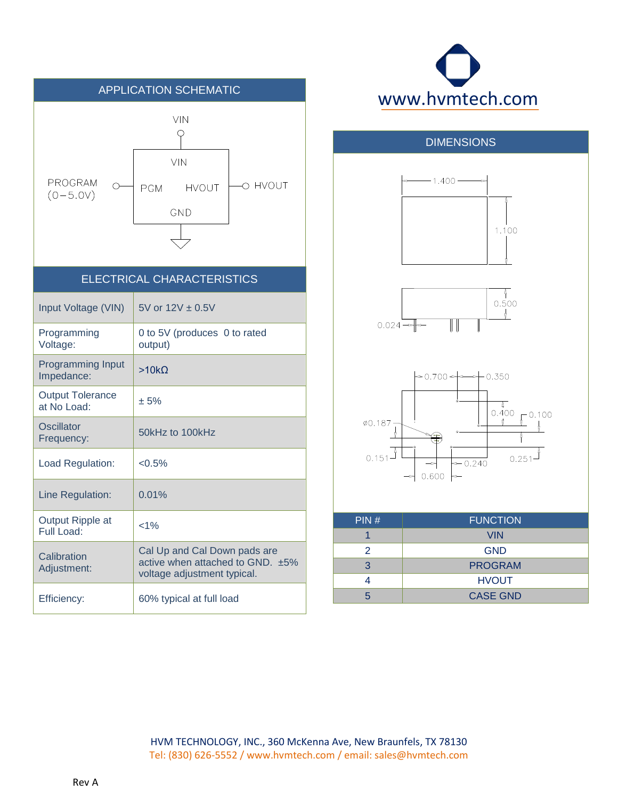





HVM TECHNOLOGY, INC., 360 McKenna Ave, New Braunfels, TX 78130 Tel: (830) 626-5552 / www.hvmtech.com / email: sales@hvmtech.com